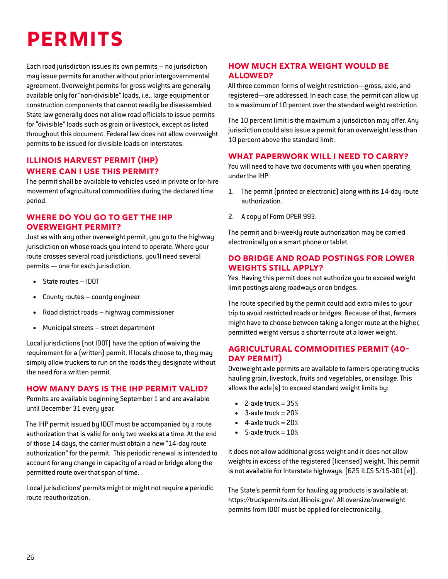# **Permits**

Each road jurisdiction issues its own permits – no jurisdiction may issue permits for another without prior intergovernmental agreement. Overweight permits for gross weights are generally available only for "non-divisible" loads, i.e., large equipment or construction components that cannot readily be disassembled. State law generally does not allow road officials to issue permits for "divisible" loads such as grain or livestock, except as listed throughout this document. Federal law does not allow overweight permits to be issued for divisible loads on interstates.

## **Illinois Harvest Permit (IHP) Where can I use this permit?**

The permit shall be available to vehicles used in private or for-hire movement of agricultural commodities during the declared time period.

## **Where do you go to get the IHP overweight permit?**

Just as with any other overweight permit, you go to the highway jurisdiction on whose roads you intend to operate. Where your route crosses several road jurisdictions, you'll need several permits — one for each jurisdiction.

- State routes IDOT
- County routes county engineer
- Road district roads highway commissioner
- Municipal streets street department

Local jurisdictions (not IDOT) have the option of waiving the requirement for a (written) permit. If locals choose to, they may simply allow truckers to run on the roads they designate without the need for a written permit.

## **How many days is the IHP permit valid?**

Permits are available beginning September 1 and are available until December 31 every year.

The IHP permit issued by IDOT must be accompanied by a route authorization that is valid for only two weeks at a time. At the end of those 14 days, the carrier must obtain a new "14-day route authorization" for the permit. This periodic renewal is intended to account for any change in capacity of a road or bridge along the permitted route over that span of time.

Local jurisdictions' permits might or might not require a periodic route reauthorization.

## **How much extra weight would be allowed?**

All three common forms of weight restriction—gross, axle, and registered—are addressed. In each case, the permit can allow up to a maximum of 10 percent over the standard weight restriction.

The 10 percent limit is the maximum a jurisdiction may offer. Any jurisdiction could also issue a permit for an overweight less than 10 percent above the standard limit.

## **What paperwork will I need to carry?**

You will need to have two documents with you when operating under the IHP:

- 1. The permit (printed or electronic) along with its 14-day route authorization.
- 2. A copy of Form OPER 993.

The permit and bi-weekly route authorization may be carried electronically on a smart phone or tablet.

#### **Do bridge and road postings for lower weights still apply?**

Yes. Having this permit does not authorize you to exceed weight limit postings along roadways or on bridges.

The route specified by the permit could add extra miles to your trip to avoid restricted roads or bridges. Because of that, farmers might have to choose between taking a longer route at the higher, permitted weight versus a shorter route at a lower weight.

#### **Agricultural Commodities Permit (40- Day Permit)**

Overweight axle permits are available to farmers operating trucks hauling grain, livestock, fruits and vegetables, or ensilage. This allows the axle(s) to exceed standard weight limits by:

- $\bullet$  2-axle truck = 35%
- 3-axle truck  $= 20%$
- 4-axle truck  $= 20%$
- 5-axle truck  $= 10%$

It does not allow additional gross weight and it does not allow weights in excess of the registered (licensed) weight. This permit is not available for Interstate highways. [625 ILCS 5/15-301(e)].

The State's permit form for hauling ag products is available at: [https://truckpermits.dot.illinois.gov/.](https://truckpermits.dot.illinois.gov/) All oversize/overweight permits from IDOT must be applied for electronically.